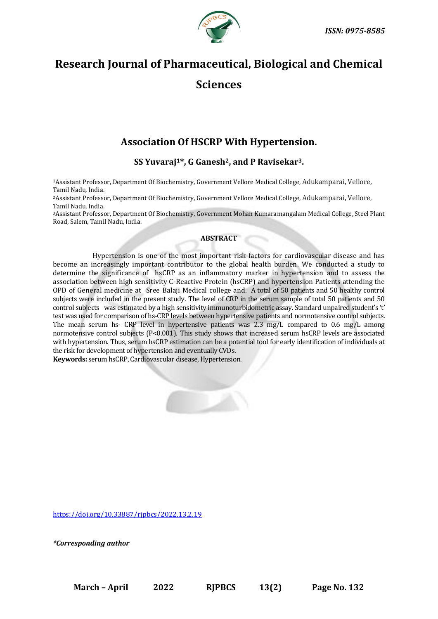

# **Research Journal of Pharmaceutical, Biological and Chemical Sciences**

# **Association Of HSCRP With Hypertension.**

# **SS Yuvaraj1\*, G Ganesh2, and P Ravisekar3.**

<sup>1</sup>Assistant Professor, Department Of Biochemistry, Government Vellore Medical College, Adukamparai, Vellore, Tamil Nadu, India.

<sup>2</sup>Assistant Professor, Department Of Biochemistry, Government Vellore Medical College, Adukamparai, Vellore, Tamil Nadu, India.

<sup>3</sup>Assistant Professor, Department Of Biochemistry, Government Mohan Kumaramangalam Medical College, Steel Plant Road, Salem, Tamil Nadu, India.

# **ABSTRACT**

Hypertension is one of the most important risk factors for cardiovascular disease and has become an increasingly important contributor to the global health burden. We conducted a study to determine the significance of hsCRP as an inflammatory marker in hypertension and to assess the association between high sensitivity C-Reactive Protein (hsCRP) and hypertension Patients attending the OPD of General medicine at Sree Balaji Medical college and. A total of 50 patients and 50 healthy control subjects were included in the present study. The level of CRP in the serum sample of total 50 patients and 50 control subjects was estimated by a high sensitivity immunoturbidometric assay. Standard unpaired student's 't' test was used for comparison of hs-CRP levels between hypertensive patients and normotensive control subjects. The mean serum hs- CRP level in hypertensive patients was 2.3 mg/L compared to 0.6 mg/L among normotensive control subjects (P<0.001). This study shows that increased serum hsCRP levels are associated with hypertension. Thus, serum hsCRP estimation can be a potential tool for early identification of individuals at the risk for development of hypertension and eventually CVDs.

**Keywords:** serum hsCRP, Cardiovascular disease, Hypertension.



<https://doi.org/10.33887/rjpbcs/2022.13.2.19>

*\*Corresponding author*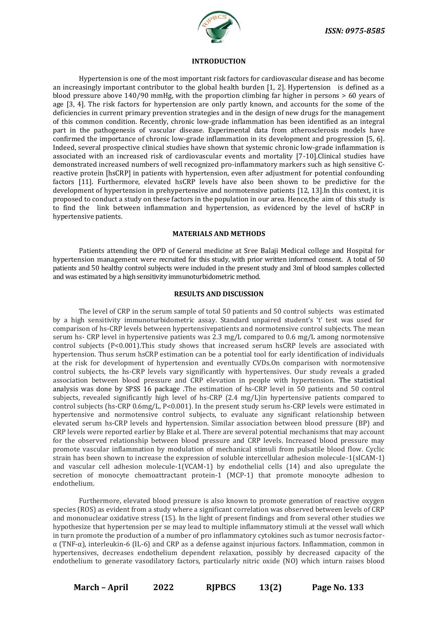

#### **INTRODUCTION**

Hypertension is one of the most important risk factors for cardiovascular disease and has become an increasingly important contributor to the global health burden [1, 2]. Hypertension is defined as a blood pressure above 140/90 mmHg, with the proportion climbing far higher in persons > 60 years of age [3, 4]. The risk factors for hypertension are only partly known, and accounts for the some of the deficiencies in current primary prevention strategies and in the design of new drugs for the management of this common condition. Recently, chronic low-grade inflammation has been identified as an integral part in the pathogenesis of vascular disease. Experimental data from atherosclerosis models have confirmed the importance of chronic low-grade inflammation in its development and progression [5, 6]. Indeed, several prospective clinical studies have shown that systemic chronic low-grade inflammation is associated with an increased risk of cardiovascular events and mortality [7-10].Clinical studies have demonstrated increased numbers of well recognized pro-inflammatory markers such as high sensitive Creactive protein [hsCRP] in patients with hypertension, even after adjustment for potential confounding factors [11]. Furthermore, elevated hsCRP levels have also been shown to be predictive for the development of hypertension in prehypertensive and normotensive patients [12, 13].In this context, it is proposed to conduct a study on these factors in the population in our area. Hence,the aim of this study is to find the link between inflammation and hypertension, as evidenced by the level of hsCRP in hypertensive patients.

#### **MATERIALS AND METHODS**

Patients attending the OPD of General medicine at Sree Balaji Medical college and Hospital for hypertension management were recruited for this study, with prior written informed consent. A total of 50 patients and 50 healthy control subjects were included in the present study and 3ml of blood samples collected and was estimated by a high sensitivity immunoturbidometric method.

#### **RESULTS AND DISCUSSION**

The level of CRP in the serum sample of total 50 patients and 50 control subjects was estimated by a high sensitivity immunoturbidometric assay. Standard unpaired student's 't' test was used for comparison of hs-CRP levels between hypertensivepatients and normotensive control subjects. The mean serum hs- CRP level in hypertensive patients was 2.3 mg/L compared to 0.6 mg/L among normotensive control subjects (P<0.001).This study shows that increased serum hsCRP levels are associated with hypertension. Thus serum hsCRP estimation can be a potential tool for early identification of individuals at the risk for development of hypertension and eventually CVDs.On comparison with normotensive control subjects, the hs-CRP levels vary significantly with hypertensives. Our study reveals a graded association between blood pressure and CRP elevation in people with hypertension. The statistical analysis was done by SPSS 16 package .The estimation of hs-CRP level in 50 patients and 50 control subjects, revealed significantly high level of hs-CRP (2.4 mg/L)in hypertensive patients compared to control subjects (hs-CRP 0.6mg/L, P<0.001). In the present study serum hs-CRP levels were estimated in hypertensive and normotensive control subjects, to evaluate any significant relationship between elevated serum hs-CRP levels and hypertension. Similar association between blood pressure (BP) and CRP levels were reported earlier by Blake et al. There are several potential mechanisms that may account for the observed relationship between blood pressure and CRP levels. Increased blood pressure may promote vascular inflammation by modulation of mechanical stimuli from pulsatile blood flow. Cyclic strain has been shown to increase the expression of soluble intercellular adhesion molecule-1(sICAM-1) and vascular cell adhesion molecule-1(VCAM-1) by endothelial cells (14) and also upregulate the secretion of monocyte chemoattractant protein-1 (MCP-1) that promote monocyte adhesion to endothelium.

Furthermore, elevated blood pressure is also known to promote generation of reactive oxygen species (ROS) as evident from a study where a significant correlation was observed between levels of CRP and mononuclear oxidative stress (15). In the light of present findings and from several other studies we hypothesize that hypertension per se may lead to multiple inflammatory stimuli at the vessel wall which in turn promote the production of a number of pro inflammatory cytokines such as tumor necrosis factorα (TNF-α), interleukin-6 (IL-6) and CRP as a defense against injurious factors. Inflammation, common in hypertensives, decreases endothelium dependent relaxation, possibly by decreased capacity of the endothelium to generate vasodilatory factors, particularly nitric oxide (NO) which inturn raises blood

**March – April 2022 RJPBCS 13(2) Page No. 133**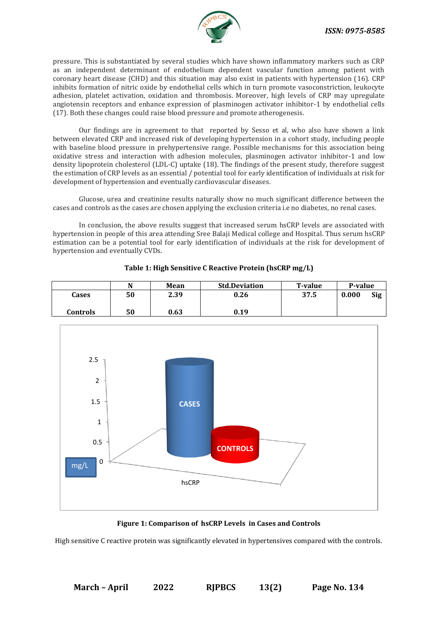

pressure. This is substantiated by several studies which have shown inflammatory markers such as CRP as an independent determinant of endothelium dependent vascular function among patient with coronary heart disease (CHD) and this situation may also exist in patients with hypertension (16). CRP inhibits formation of nitric oxide by endothelial cells which in turn promote vasoconstriction, leukocyte adhesion, platelet activation, oxidation and thrombosis. Moreover, high levels of CRP may upregulate angiotensin receptors and enhance expression of plasminogen activator inhibitor-1 by endothelial cells (17). Both these changes could raise blood pressure and promote atherogenesis.

Our findings are in agreement to that reported by Sesso et al, who also have shown a link between elevated CRP and increased risk of developing hypertension in a cohort study, including people with baseline blood pressure in prehypertensive range. Possible mechanisms for this association being oxidative stress and interaction with adhesion molecules, plasminogen activator inhibitor-1 and low density lipoprotein cholesterol (LDL-C) uptake (18). The findings of the present study, therefore suggest the estimation of CRP levels as an essential / potential tool for early identification of individuals at risk for development of hypertension and eventually cardiovascular diseases.

Glucose, urea and creatinine results naturally show no much significant difference between the cases and controls as the cases are chosen applying the exclusion criteria i.e no diabetes, no renal cases.

In conclusion, the above results suggest that increased serum hsCRP levels are associated with hypertension in people of this area attending Sree Balaji Medical college and Hospital. Thus serum hsCRP estimation can be a potential tool for early identification of individuals at the risk for development of hypertension and eventually CVDs.

|          | N  | Mean | <b>Std.Deviation</b> | <b>T-value</b> | P-value      |
|----------|----|------|----------------------|----------------|--------------|
| Cases    | 50 | 2.39 | 0.26                 | 37.5           | 0.000<br>Sig |
| Controls | 50 | 0.63 | 0.19                 |                |              |





# **Figure 1: Comparison of hsCRP Levels in Cases and Controls**

High sensitive C reactive protein was significantly elevated in hypertensives compared with the controls.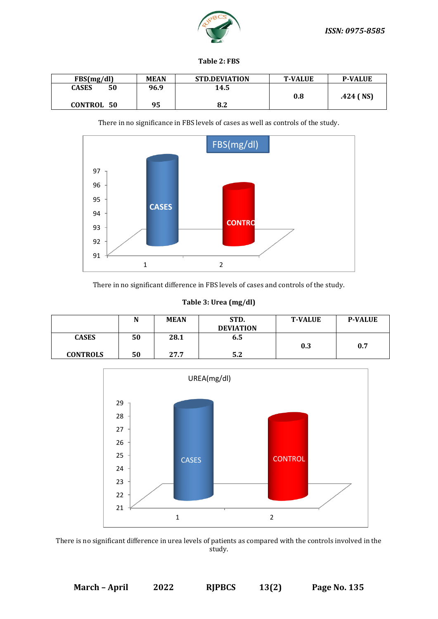

## **Table 2: FBS**

| FBS(mg/dl)         | <b>MEAN</b> | <b>STD.DEVIATION</b> | <b>T-VALUE</b> | <b>P-VALUE</b> |
|--------------------|-------------|----------------------|----------------|----------------|
| 50<br><b>CASES</b> | 96.9        | 14.5                 |                |                |
|                    |             |                      | 0.8            | $.424$ (NS)    |
| <b>CONTROL 50</b>  | 95          | 8.2                  |                |                |



There in no significance in FBS levels of cases as well as controls of the study.

There in no significant difference in FBS levels of cases and controls of the study.

| Table 3: Urea (mg/dl) |  |  |
|-----------------------|--|--|
|                       |  |  |

|                 | N  | <b>MEAN</b> | STD.<br><b>DEVIATION</b> | <b>T-VALUE</b> | <b>P-VALUE</b> |
|-----------------|----|-------------|--------------------------|----------------|----------------|
| <b>CASES</b>    | 50 | 28.1        | 6.5                      |                |                |
|                 |    |             |                          | 0.3            | 0.7            |
| <b>CONTROLS</b> | 50 | 27.7        | Ε ?<br>ے ر               |                |                |



There is no significant difference in urea levels of patients as compared with the controls involved in the study.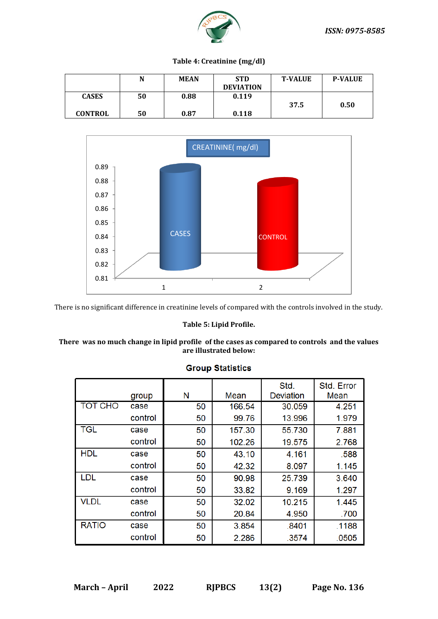

# **Table 4: Creatinine (mg/dl)**

|                | N  | <b>MEAN</b> | <b>STD</b>       | <b>T-VALUE</b> | <b>P-VALUE</b> |
|----------------|----|-------------|------------------|----------------|----------------|
|                |    |             | <b>DEVIATION</b> |                |                |
| <b>CASES</b>   | 50 | 0.88        | 0.119            |                |                |
|                |    |             |                  | 37.5           | 0.50           |
| <b>CONTROL</b> | 50 | 0.87        | 0.118            |                |                |



There is no significant difference in creatinine levels of compared with the controls involved in the study.

#### **Table 5: Lipid Profile.**

### **There was no much change in lipid profile of the cases as compared to controls and the values are illustrated below:**

|                | group   | N  | Mean   | Std.<br><b>Deviation</b> | Std. Error<br>Mean |
|----------------|---------|----|--------|--------------------------|--------------------|
| <b>TOT CHO</b> | case    | 50 | 166.54 | 30.059                   | 4.251              |
|                | control | 50 | 99.76  | 13.996                   | 1.979              |
| <b>TGL</b>     | case    | 50 | 157.30 | 55.730                   | 7.881              |
|                | control | 50 | 102.26 | 19.575                   | 2.768              |
| <b>HDL</b>     | case    | 50 | 43.10  | 4.161                    | .588               |
|                | control | 50 | 42.32  | 8.097                    | 1.145              |
| <b>LDL</b>     | case    | 50 | 90.98  | 25.739                   | 3.640              |
|                | control | 50 | 33.82  | 9.169                    | 1.297              |
| <b>VLDL</b>    | case    | 50 | 32.02  | 10.215                   | 1.445              |
|                | control | 50 | 20.84  | 4.950                    | .700               |
| <b>RATIO</b>   | case    | 50 | 3.854  | .8401                    | .1188              |
|                | control | 50 | 2.286  | .3574                    | .0505              |

# **Group Statistics**